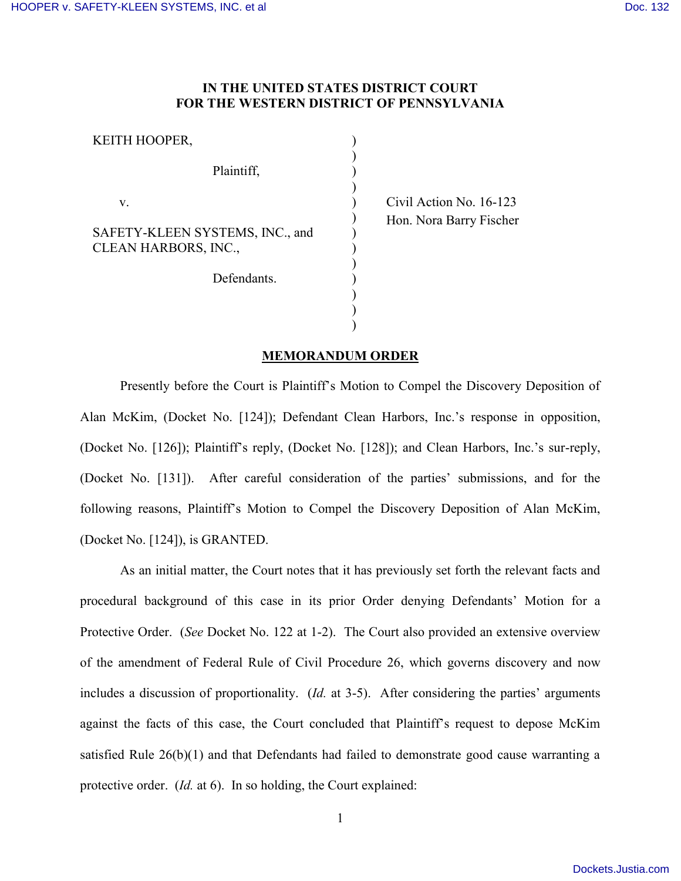## **IN THE UNITED STATES DISTRICT COURT FOR THE WESTERN DISTRICT OF PENNSYLVANIA**

) ) ) ) ) ) ) ) ) ) ) ) )

| KEITH HOOPER.                                           |  |
|---------------------------------------------------------|--|
| Plaintiff,                                              |  |
| V.                                                      |  |
| SAFETY-KLEEN SYSTEMS, INC., and<br>CLEAN HARBORS, INC., |  |
| Defendants.                                             |  |

 Civil Action No. 16-123 Hon. Nora Barry Fischer

## **MEMORANDUM ORDER**

Presently before the Court is Plaintiff's Motion to Compel the Discovery Deposition of Alan McKim, (Docket No. [124]); Defendant Clean Harbors, Inc.'s response in opposition, (Docket No. [126]); Plaintiff's reply, (Docket No. [128]); and Clean Harbors, Inc.'s sur-reply, (Docket No. [131]). After careful consideration of the parties' submissions, and for the following reasons, Plaintiff's Motion to Compel the Discovery Deposition of Alan McKim, (Docket No. [124]), is GRANTED.

As an initial matter, the Court notes that it has previously set forth the relevant facts and procedural background of this case in its prior Order denying Defendants' Motion for a Protective Order. (*See* Docket No. 122 at 1-2). The Court also provided an extensive overview of the amendment of Federal Rule of Civil Procedure 26, which governs discovery and now includes a discussion of proportionality. (*Id.* at 3-5). After considering the parties' arguments against the facts of this case, the Court concluded that Plaintiff's request to depose McKim satisfied Rule 26(b)(1) and that Defendants had failed to demonstrate good cause warranting a protective order. (*Id.* at 6). In so holding, the Court explained: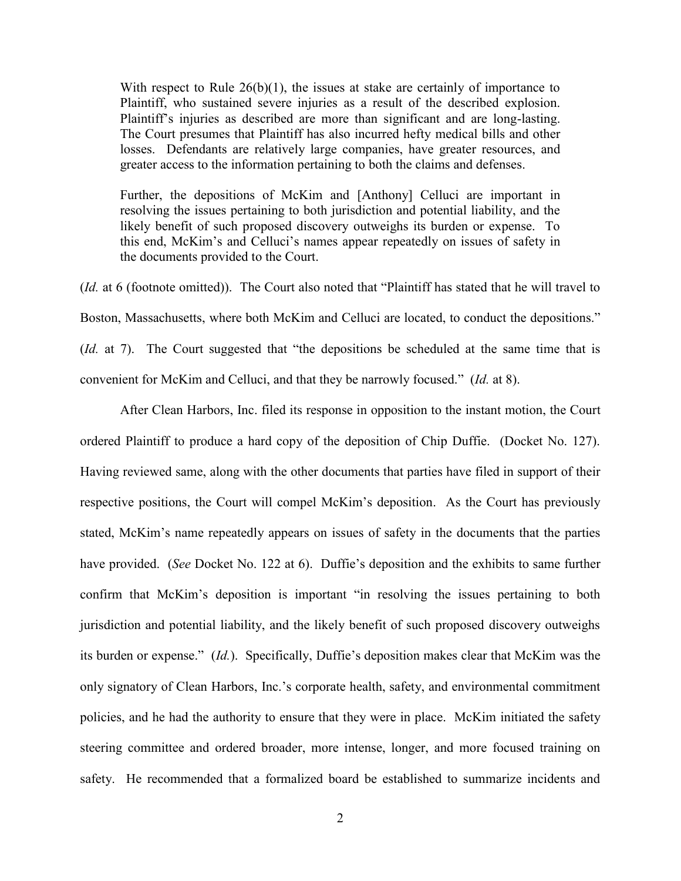With respect to Rule  $26(b)(1)$ , the issues at stake are certainly of importance to Plaintiff, who sustained severe injuries as a result of the described explosion. Plaintiff's injuries as described are more than significant and are long-lasting. The Court presumes that Plaintiff has also incurred hefty medical bills and other losses. Defendants are relatively large companies, have greater resources, and greater access to the information pertaining to both the claims and defenses.

Further, the depositions of McKim and [Anthony] Celluci are important in resolving the issues pertaining to both jurisdiction and potential liability, and the likely benefit of such proposed discovery outweighs its burden or expense. To this end, McKim's and Celluci's names appear repeatedly on issues of safety in the documents provided to the Court.

(*Id.* at 6 (footnote omitted)). The Court also noted that "Plaintiff has stated that he will travel to Boston, Massachusetts, where both McKim and Celluci are located, to conduct the depositions." (*Id.* at 7). The Court suggested that "the depositions be scheduled at the same time that is convenient for McKim and Celluci, and that they be narrowly focused." (*Id.* at 8).

After Clean Harbors, Inc. filed its response in opposition to the instant motion, the Court ordered Plaintiff to produce a hard copy of the deposition of Chip Duffie. (Docket No. 127). Having reviewed same, along with the other documents that parties have filed in support of their respective positions, the Court will compel McKim's deposition. As the Court has previously stated, McKim's name repeatedly appears on issues of safety in the documents that the parties have provided. (*See* Docket No. 122 at 6). Duffie's deposition and the exhibits to same further confirm that McKim's deposition is important "in resolving the issues pertaining to both jurisdiction and potential liability, and the likely benefit of such proposed discovery outweighs its burden or expense." (*Id.*). Specifically, Duffie's deposition makes clear that McKim was the only signatory of Clean Harbors, Inc.'s corporate health, safety, and environmental commitment policies, and he had the authority to ensure that they were in place. McKim initiated the safety steering committee and ordered broader, more intense, longer, and more focused training on safety. He recommended that a formalized board be established to summarize incidents and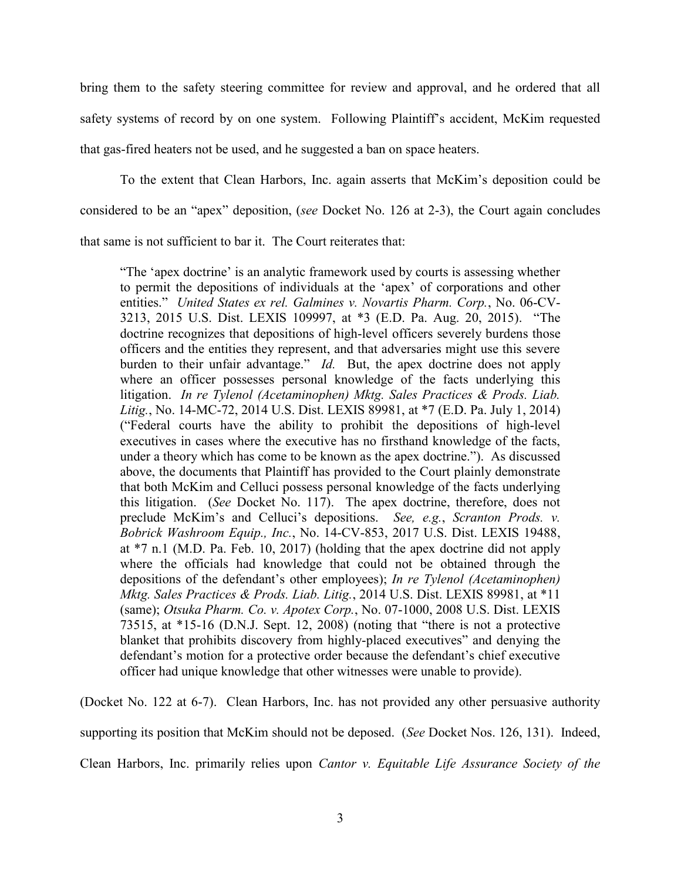bring them to the safety steering committee for review and approval, and he ordered that all safety systems of record by on one system. Following Plaintiff's accident, McKim requested that gas-fired heaters not be used, and he suggested a ban on space heaters.

To the extent that Clean Harbors, Inc. again asserts that McKim's deposition could be considered to be an "apex" deposition, (*see* Docket No. 126 at 2-3), the Court again concludes that same is not sufficient to bar it. The Court reiterates that:

"The 'apex doctrine' is an analytic framework used by courts is assessing whether to permit the depositions of individuals at the 'apex' of corporations and other entities." *United States ex rel. Galmines v. Novartis Pharm. Corp.*, No. 06-CV-3213, 2015 U.S. Dist. LEXIS 109997, at \*3 (E.D. Pa. Aug. 20, 2015). "The doctrine recognizes that depositions of high-level officers severely burdens those officers and the entities they represent, and that adversaries might use this severe burden to their unfair advantage." *Id.* But, the apex doctrine does not apply where an officer possesses personal knowledge of the facts underlying this litigation. *In re Tylenol (Acetaminophen) Mktg. Sales Practices & Prods. Liab. Litig.*, No. 14-MC-72, 2014 U.S. Dist. LEXIS 89981, at \*7 (E.D. Pa. July 1, 2014) ("Federal courts have the ability to prohibit the depositions of high-level executives in cases where the executive has no firsthand knowledge of the facts, under a theory which has come to be known as the apex doctrine."). As discussed above, the documents that Plaintiff has provided to the Court plainly demonstrate that both McKim and Celluci possess personal knowledge of the facts underlying this litigation. (*See* Docket No. 117). The apex doctrine, therefore, does not preclude McKim's and Celluci's depositions. *See, e.g.*, *Scranton Prods. v. Bobrick Washroom Equip., Inc.*, No. 14-CV-853, 2017 U.S. Dist. LEXIS 19488, at \*7 n.1 (M.D. Pa. Feb. 10, 2017) (holding that the apex doctrine did not apply where the officials had knowledge that could not be obtained through the depositions of the defendant's other employees); *In re Tylenol (Acetaminophen) Mktg. Sales Practices & Prods. Liab. Litig.*, 2014 U.S. Dist. LEXIS 89981, at \*11 (same); *Otsuka Pharm. Co. v. Apotex Corp.*, No. 07-1000, 2008 U.S. Dist. LEXIS  $73515$ , at \*15-16 (D.N.J. Sept. 12, 2008) (noting that "there is not a protective blanket that prohibits discovery from highly-placed executives" and denying the defendant's motion for a protective order because the defendant's chief executive officer had unique knowledge that other witnesses were unable to provide).

(Docket No. 122 at 6-7). Clean Harbors, Inc. has not provided any other persuasive authority supporting its position that McKim should not be deposed. (*See* Docket Nos. 126, 131). Indeed, Clean Harbors, Inc. primarily relies upon *Cantor v. Equitable Life Assurance Society of the*